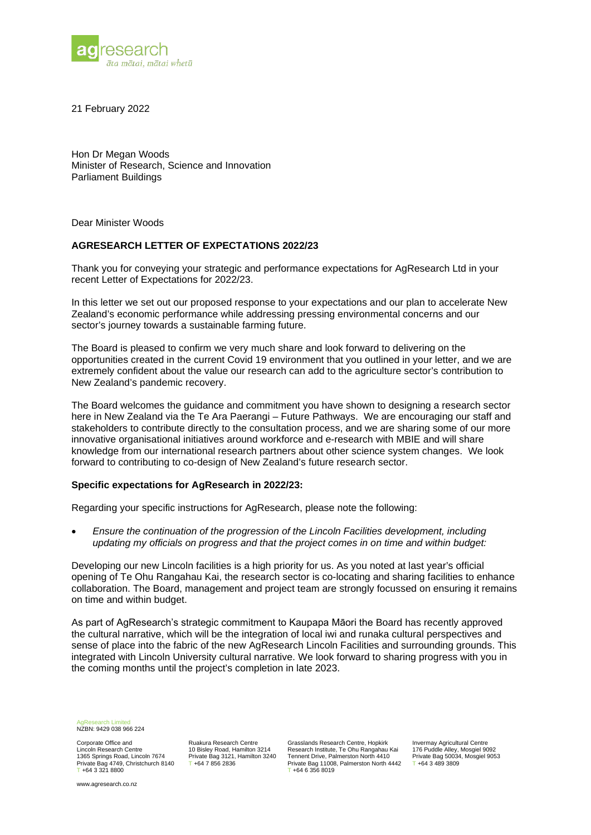

21 February 2022

Hon Dr Megan Woods Minister of Research, Science and Innovation Parliament Buildings

Dear Minister Woods

## **AGRESEARCH LETTER OF EXPECTATIONS 2022/23**

Thank you for conveying your strategic and performance expectations for AgResearch Ltd in your recent Letter of Expectations for 2022/23.

In this letter we set out our proposed response to your expectations and our plan to accelerate New Zealand's economic performance while addressing pressing environmental concerns and our sector's journey towards a sustainable farming future.

The Board is pleased to confirm we very much share and look forward to delivering on the opportunities created in the current Covid 19 environment that you outlined in your letter, and we are extremely confident about the value our research can add to the agriculture sector's contribution to New Zealand's pandemic recovery.

The Board welcomes the guidance and commitment you have shown to designing a research sector here in New Zealand via the Te Ara Paerangi – Future Pathways. We are encouraging our staff and stakeholders to contribute directly to the consultation process, and we are sharing some of our more innovative organisational initiatives around workforce and e-research with MBIE and will share knowledge from our international research partners about other science system changes. We look forward to contributing to co-design of New Zealand's future research sector.

## **Specific expectations for AgResearch in 2022/23:**

Regarding your specific instructions for AgResearch, please note the following:

• *Ensure the continuation of the progression of the Lincoln Facilities development, including updating my officials on progress and that the project comes in on time and within budget:*

Developing our new Lincoln facilities is a high priority for us. As you noted at last year's official opening of Te Ohu Rangahau Kai, the research sector is co-locating and sharing facilities to enhance collaboration. The Board, management and project team are strongly focussed on ensuring it remains on time and within budget.

As part of AgResearch's strategic commitment to Kaupapa Māori the Board has recently approved the cultural narrative, which will be the integration of local iwi and runaka cultural perspectives and sense of place into the fabric of the new AgResearch Lincoln Facilities and surrounding grounds. This integrated with Lincoln University cultural narrative. We look forward to sharing progress with you in the coming months until the project's completion in late 2023.

AgResearch Limited NZBN: 9429 038 966 224

Corporate Office and Lincoln Research Centre 1365 Springs Road, Lincoln 7674 Private Bag 4749, Christchurch 8140  $+6433218800$ 

www.agresearch.co.nz

Ruakura Research Centre 10 Bisley Road, Hamilton 3214 Private Bag 3121, Hamilton 3240 T +64 7 856 2836

Grasslands Research Centre, Hopkirk Research Institute, Te Ohu Rangahau Kai Tennent Drive, Palmerston North 4410 Private Bag 11008, Palmerston North 4442  $+6463568019$ 

Invermay Agricultural Centre 176 Puddle Alley, Mosgiel 9092 Private Bag 50034, Mosgiel 9053 T +64 3 489 3809